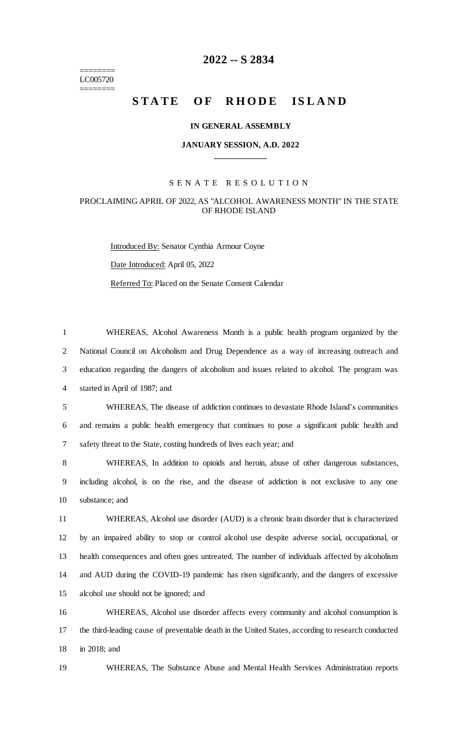======== LC005720 ========

## **-- S 2834**

# **STATE OF RHODE ISLAND**

### **IN GENERAL ASSEMBLY**

## **JANUARY SESSION, A.D. 2022 \_\_\_\_\_\_\_\_\_\_\_\_**

### S E N A T E R E S O L U T I O N

## PROCLAIMING APRIL OF 2022, AS "ALCOHOL AWARENESS MONTH" IN THE STATE OF RHODE ISLAND

Introduced By: Senator Cynthia Armour Coyne Date Introduced: April 05, 2022 Referred To: Placed on the Senate Consent Calendar

 WHEREAS, Alcohol Awareness Month is a public health program organized by the National Council on Alcoholism and Drug Dependence as a way of increasing outreach and education regarding the dangers of alcoholism and issues related to alcohol. The program was started in April of 1987; and

 WHEREAS, The disease of addiction continues to devastate Rhode Island's communities and remains a public health emergency that continues to pose a significant public health and safety threat to the State, costing hundreds of lives each year; and

 WHEREAS, In addition to opioids and heroin, abuse of other dangerous substances, including alcohol, is on the rise, and the disease of addiction is not exclusive to any one substance; and

 WHEREAS, Alcohol use disorder (AUD) is a chronic brain disorder that is characterized by an impaired ability to stop or control alcohol use despite adverse social, occupational, or health consequences and often goes untreated. The number of individuals affected by alcoholism and AUD during the COVID-19 pandemic has risen significantly, and the dangers of excessive alcohol use should not be ignored; and

 WHEREAS, Alcohol use disorder affects every community and alcohol consumption is the third-leading cause of preventable death in the United States, according to research conducted in 2018; and

WHEREAS, The Substance Abuse and Mental Health Services Administration reports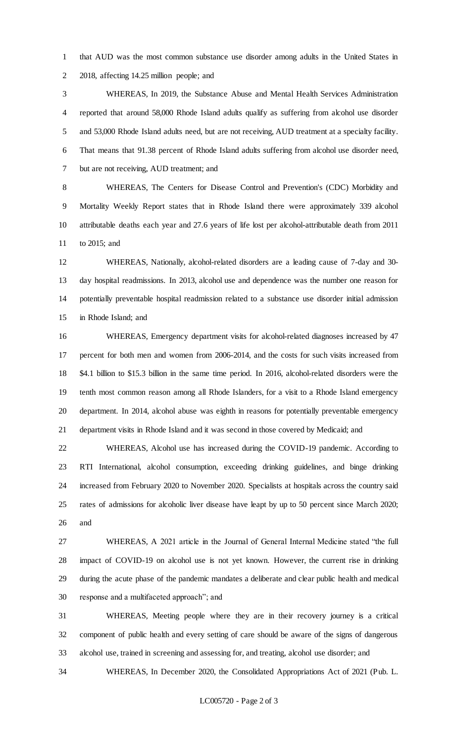that AUD was the most common substance use disorder among adults in the United States in 2018, affecting 14.25 million people; and

 WHEREAS, In 2019, the Substance Abuse and Mental Health Services Administration reported that around 58,000 Rhode Island adults qualify as suffering from alcohol use disorder and 53,000 Rhode Island adults need, but are not receiving, AUD treatment at a specialty facility. That means that 91.38 percent of Rhode Island adults suffering from alcohol use disorder need, but are not receiving, AUD treatment; and

 WHEREAS, The Centers for Disease Control and Prevention's (CDC) Morbidity and Mortality Weekly Report states that in Rhode Island there were approximately 339 alcohol attributable deaths each year and 27.6 years of life lost per alcohol-attributable death from 2011 to 2015; and

 WHEREAS, Nationally, alcohol-related disorders are a leading cause of 7-day and 30- day hospital readmissions. In 2013, alcohol use and dependence was the number one reason for potentially preventable hospital readmission related to a substance use disorder initial admission in Rhode Island; and

 WHEREAS, Emergency department visits for alcohol-related diagnoses increased by 47 percent for both men and women from 2006-2014, and the costs for such visits increased from \$4.1 billion to \$15.3 billion in the same time period. In 2016, alcohol-related disorders were the tenth most common reason among all Rhode Islanders, for a visit to a Rhode Island emergency department. In 2014, alcohol abuse was eighth in reasons for potentially preventable emergency department visits in Rhode Island and it was second in those covered by Medicaid; and

 WHEREAS, Alcohol use has increased during the COVID-19 pandemic. According to RTI International, alcohol consumption, exceeding drinking guidelines, and binge drinking increased from February 2020 to November 2020. Specialists at hospitals across the country said rates of admissions for alcoholic liver disease have leapt by up to 50 percent since March 2020; and

 WHEREAS, A 2021 article in the Journal of General Internal Medicine stated "the full impact of COVID-19 on alcohol use is not yet known. However, the current rise in drinking during the acute phase of the pandemic mandates a deliberate and clear public health and medical response and a multifaceted approach"; and

 WHEREAS, Meeting people where they are in their recovery journey is a critical component of public health and every setting of care should be aware of the signs of dangerous alcohol use, trained in screening and assessing for, and treating, alcohol use disorder; and

WHEREAS, In December 2020, the Consolidated Appropriations Act of 2021 (Pub. L.